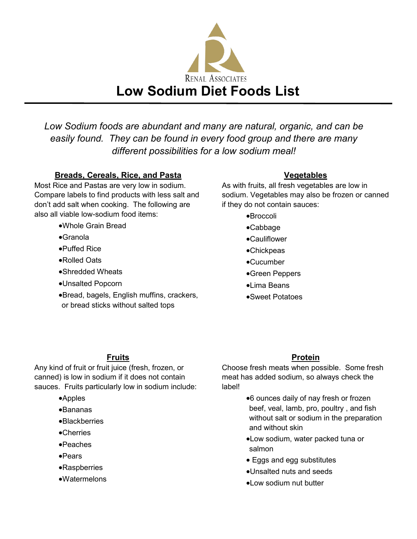

*Low Sodium foods are abundant and many are natural, organic, and can be easily found. They can be found in every food group and there are many different possibilities for a low sodium meal!*

### **Breads, Cereals, Rice, and Pasta**

Most Rice and Pastas are very low in sodium. Compare labels to find products with less salt and don't add salt when cooking. The following are also all viable low-sodium food items:

### •Whole Grain Bread

- •Granola
- •Puffed Rice
- •Rolled Oats
- •Shredded Wheats
- •Unsalted Popcorn
- •Bread, bagels, English muffins, crackers, or bread sticks without salted tops

### **Vegetables**

As with fruits, all fresh vegetables are low in sodium. Vegetables may also be frozen or canned if they do not contain sauces:

- •Broccoli
- •Cabbage
- •Cauliflower
- •Chickpeas
- •Cucumber
- •Green Peppers
- •Lima Beans
- •Sweet Potatoes

### **Fruits**

Any kind of fruit or fruit juice (fresh, frozen, or canned) is low in sodium if it does not contain sauces. Fruits particularly low in sodium include:

- •Apples
- •Bananas
- •Blackberries
- •Cherries
- •Peaches
- •Pears
- •Raspberries
- •Watermelons

### **Protein**

Choose fresh meats when possible. Some fresh meat has added sodium, so always check the label!

- •6 ounces daily of nay fresh or frozen beef, veal, lamb, pro, poultry , and fish without salt or sodium in the preparation and without skin
- •Low sodium, water packed tuna or salmon
- Eggs and egg substitutes
- •Unsalted nuts and seeds
- •Low sodium nut butter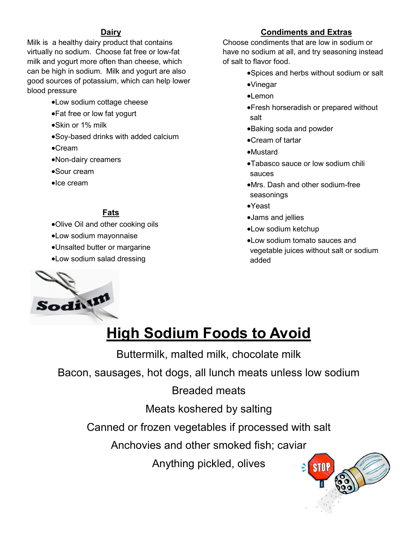### **Dairy**

Milk is a healthy dairy product that contains virtually no sodium. Choose fat free or low-fat milk and yogurt more often than cheese, which can be high in sodium. Milk and yogurt are also good sources of potassium, which can help lower blood pressure

- •Low sodium cottage cheese
- •Fat free or low fat yogurt
- •Skin or 1% milk
- •Soy-based drinks with added calcium
- •Cream
- •Non-dairy creamers
- •Sour cream
- •Ice cream

### **Fats**

- •Olive Oil and other cooking oils
- •Low sodium mayonnaise
- •Unsalted butter or margarine
- •Low sodium salad dressing

### **Condiments and Extras**

Choose condiments that are low in sodium or have no sodium at all, and try seasoning instead of salt to flavor food.

- •Spices and herbs without sodium or salt
- •Vinegar
- •Lemon
- •Fresh horseradish or prepared without salt
- •Baking soda and powder
- •Cream of tartar
- •Mustard
- •Tabasco sauce or low sodium chili sauces
- •Mrs. Dash and other sodium-free seasonings
- •Yeast
- •Jams and jellies
- •Low sodium ketchup
- •Low sodium tomato sauces and vegetable juices without salt or sodium added



# **High Sodium Foods to Avoid**

Buttermilk, malted milk, chocolate milk

Bacon, sausages, hot dogs, all lunch meats unless low sodium

# Breaded meats

Meats koshered by salting

Canned or frozen vegetables if processed with salt

Anchovies and other smoked fish; caviar

Anything pickled, olives